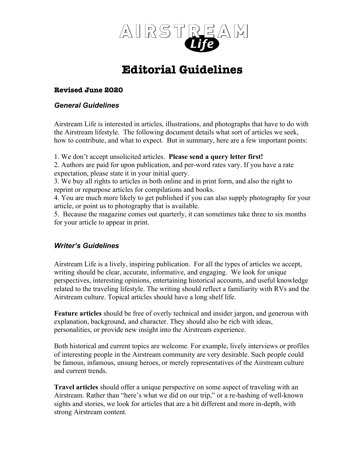

# **Editorial Guidelines**

# **Revised June 2020**

# *General Guidelines*

Airstream Life is interested in articles, illustrations, and photographs that have to do with the Airstream lifestyle. The following document details what sort of articles we seek, how to contribute, and what to expect. But in summary, here are a few important points:

1. We don't accept unsolicited articles. **Please send a query letter first!**

2. Authors are paid for upon publication, and per-word rates vary. If you have a rate expectation, please state it in your initial query.

3. We buy all rights to articles in both online and in print form, and also the right to reprint or repurpose articles for compilations and books.

4. You are much more likely to get published if you can also supply photography for your article, or point us to photography that is available.

5. Because the magazine comes out quarterly, it can sometimes take three to six months for your article to appear in print.

# *Writer's Guidelines*

Airstream Life is a lively, inspiring publication. For all the types of articles we accept, writing should be clear, accurate, informative, and engaging. We look for unique perspectives, interesting opinions, entertaining historical accounts, and useful knowledge related to the traveling lifestyle. The writing should reflect a familiarity with RVs and the Airstream culture. Topical articles should have a long shelf life.

**Feature articles** should be free of overly technical and insider jargon, and generous with explanation, background, and character. They should also be rich with ideas, personalities, or provide new insight into the Airstream experience.

Both historical and current topics are welcome. For example, lively interviews or profiles of interesting people in the Airstream community are very desirable. Such people could be famous, infamous, unsung heroes, or merely representatives of the Airstream culture and current trends.

**Travel articles** should offer a unique perspective on some aspect of traveling with an Airstream. Rather than "here's what we did on our trip," or a re-hashing of well-known sights and stories, we look for articles that are a bit different and more in-depth, with strong Airstream content.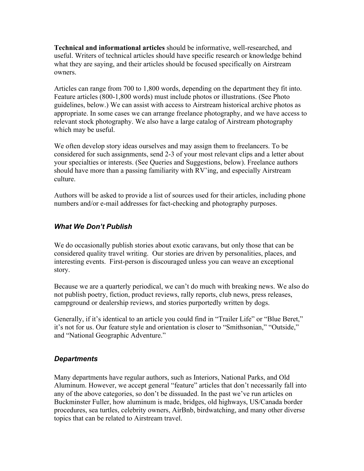**Technical and informational articles** should be informative, well-researched, and useful. Writers of technical articles should have specific research or knowledge behind what they are saying, and their articles should be focused specifically on Airstream owners.

Articles can range from 700 to 1,800 words, depending on the department they fit into. Feature articles (800-1,800 words) must include photos or illustrations. (See Photo guidelines, below.) We can assist with access to Airstream historical archive photos as appropriate. In some cases we can arrange freelance photography, and we have access to relevant stock photography. We also have a large catalog of Airstream photography which may be useful.

We often develop story ideas ourselves and may assign them to freelancers. To be considered for such assignments, send 2-3 of your most relevant clips and a letter about your specialties or interests. (See Queries and Suggestions, below). Freelance authors should have more than a passing familiarity with RV'ing, and especially Airstream culture.

Authors will be asked to provide a list of sources used for their articles, including phone numbers and/or e-mail addresses for fact-checking and photography purposes.

# *What We Don't Publish*

We do occasionally publish stories about exotic caravans, but only those that can be considered quality travel writing. Our stories are driven by personalities, places, and interesting events. First-person is discouraged unless you can weave an exceptional story.

Because we are a quarterly periodical, we can't do much with breaking news. We also do not publish poetry, fiction, product reviews, rally reports, club news, press releases, campground or dealership reviews, and stories purportedly written by dogs.

Generally, if it's identical to an article you could find in "Trailer Life" or "Blue Beret," it's not for us. Our feature style and orientation is closer to "Smithsonian," "Outside," and "National Geographic Adventure."

# *Departments*

Many departments have regular authors, such as Interiors, National Parks, and Old Aluminum. However, we accept general "feature" articles that don't necessarily fall into any of the above categories, so don't be dissuaded. In the past we've run articles on Buckminster Fuller, how aluminum is made, bridges, old highways, US/Canada border procedures, sea turtles, celebrity owners, AirBnb, birdwatching, and many other diverse topics that can be related to Airstream travel.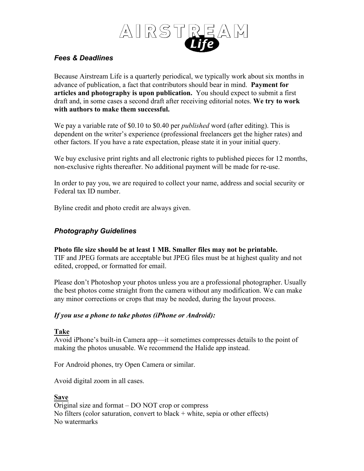

# *Fees & Deadlines*

Because Airstream Life is a quarterly periodical, we typically work about six months in advance of publication, a fact that contributors should bear in mind. **Payment for articles and photography is upon publication.** You should expect to submit a first draft and, in some cases a second draft after receiving editorial notes. **We try to work with authors to make them successful.**

We pay a variable rate of \$0.10 to \$0.40 per *published* word (after editing). This is dependent on the writer's experience (professional freelancers get the higher rates) and other factors. If you have a rate expectation, please state it in your initial query.

We buy exclusive print rights and all electronic rights to published pieces for 12 months, non-exclusive rights thereafter. No additional payment will be made for re-use.

In order to pay you, we are required to collect your name, address and social security or Federal tax ID number.

Byline credit and photo credit are always given.

# *Photography Guidelines*

**Photo file size should be at least 1 MB. Smaller files may not be printable.** TIF and JPEG formats are acceptable but JPEG files must be at highest quality and not

edited, cropped, or formatted for email.

Please don't Photoshop your photos unless you are a professional photographer. Usually the best photos come straight from the camera without any modification. We can make any minor corrections or crops that may be needed, during the layout process.

# *If you use a phone to take photos (iPhone or Android):*

# **Take**

Avoid iPhone's built-in Camera app—it sometimes compresses details to the point of making the photos unusable. We recommend the Halide app instead.

For Android phones, try Open Camera or similar.

Avoid digital zoom in all cases.

# **Save**

Original size and format – DO NOT crop or compress No filters (color saturation, convert to black  $+$  white, sepia or other effects) No watermarks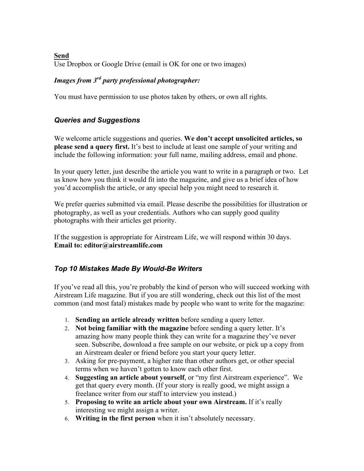**Send** Use Dropbox or Google Drive (email is OK for one or two images)

# *Images from 3rd party professional photographer:*

You must have permission to use photos taken by others, or own all rights.

# *Queries and Suggestions*

We welcome article suggestions and queries. **We don't accept unsolicited articles, so please send a query first.** It's best to include at least one sample of your writing and include the following information: your full name, mailing address, email and phone.

In your query letter, just describe the article you want to write in a paragraph or two. Let us know how you think it would fit into the magazine, and give us a brief idea of how you'd accomplish the article, or any special help you might need to research it.

We prefer queries submitted via email. Please describe the possibilities for illustration or photography, as well as your credentials. Authors who can supply good quality photographs with their articles get priority.

If the suggestion is appropriate for Airstream Life, we will respond within 30 days. **Email to: editor@airstreamlife.com**

# *Top 10 Mistakes Made By Would-Be Writers*

If you've read all this, you're probably the kind of person who will succeed working with Airstream Life magazine. But if you are still wondering, check out this list of the most common (and most fatal) mistakes made by people who want to write for the magazine:

- 1. **Sending an article already written** before sending a query letter.
- 2. **Not being familiar with the magazine** before sending a query letter. It's amazing how many people think they can write for a magazine they've never seen. Subscribe, download a free sample on our website, or pick up a copy from an Airstream dealer or friend before you start your query letter.
- 3. Asking for pre-payment, a higher rate than other authors get, or other special terms when we haven't gotten to know each other first.
- 4. **Suggesting an article about yourself**, or "my first Airstream experience". We get that query every month. (If your story is really good, we might assign a freelance writer from our staff to interview you instead.)
- 5. **Proposing to write an article about your own Airstream.** If it's really interesting we might assign a writer.
- 6. **Writing in the first person** when it isn't absolutely necessary.